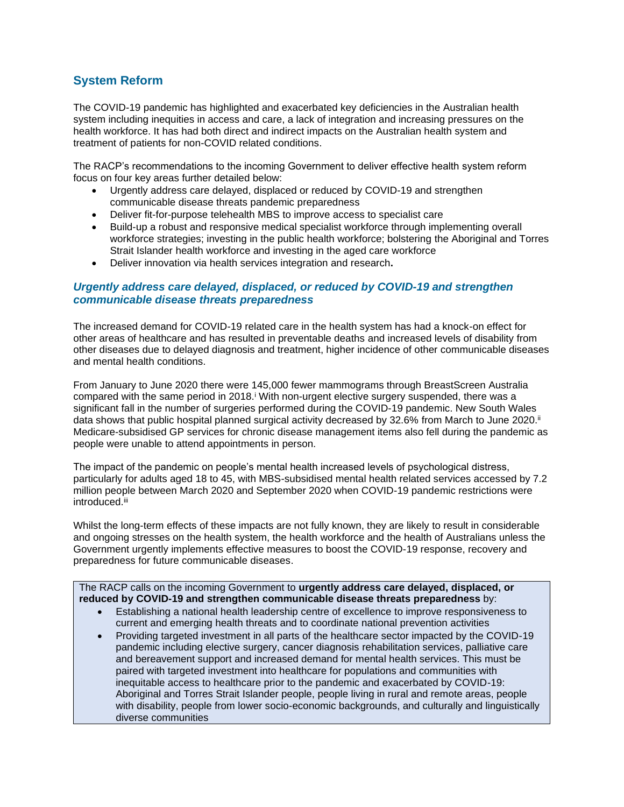# **System Reform**

The COVID-19 pandemic has highlighted and exacerbated key deficiencies in the Australian health system including inequities in access and care, a lack of integration and increasing pressures on the health workforce. It has had both direct and indirect impacts on the Australian health system and treatment of patients for non-COVID related conditions.

The RACP's recommendations to the incoming Government to deliver effective health system reform focus on four key areas further detailed below:

- Urgently address care delayed, displaced or reduced by COVID-19 and strengthen communicable disease threats pandemic preparedness
- Deliver fit-for-purpose telehealth MBS to improve access to specialist care
- Build-up a robust and responsive medical specialist workforce through implementing overall workforce strategies; investing in the public health workforce; bolstering the Aboriginal and Torres Strait Islander health workforce and investing in the aged care workforce
- Deliver innovation via health services integration and research**.**

### *Urgently address care delayed, displaced, or reduced by COVID-19 and strengthen communicable disease threats preparedness*

The increased demand for COVID-19 related care in the health system has had a knock-on effect for other areas of healthcare and has resulted in preventable deaths and increased levels of disability from other diseases due to delayed diagnosis and treatment, higher incidence of other communicable diseases and mental health conditions.

From January to June 2020 there were 145,000 fewer mammograms through BreastScreen Australia compared with the same period in 2018.<sup>*i*</sup> With non-urgent elective surgery suspended, there was a significant fall in the number of surgeries performed during the COVID-19 pandemic. New South Wales data shows that public hospital planned surgical activity decreased by 32.6% from March to June 2020.<sup>ii</sup> Medicare-subsidised GP services for chronic disease management items also fell during the pandemic as people were unable to attend appointments in person.

The impact of the pandemic on people's mental health increased levels of psychological distress, particularly for adults aged 18 to 45, with MBS-subsidised mental health related services accessed by 7.2 million people between March 2020 and September 2020 when COVID-19 pandemic restrictions were introduced.iii

Whilst the long-term effects of these impacts are not fully known, they are likely to result in considerable and ongoing stresses on the health system, the health workforce and the health of Australians unless the Government urgently implements effective measures to boost the COVID-19 response, recovery and preparedness for future communicable diseases.

#### The RACP calls on the incoming Government to **urgently address care delayed, displaced, or reduced by COVID-19 and strengthen communicable disease threats preparedness** by:

- Establishing a national health leadership centre of excellence to improve responsiveness to current and emerging health threats and to coordinate national prevention activities
- Providing targeted investment in all parts of the healthcare sector impacted by the COVID-19 pandemic including elective surgery, cancer diagnosis rehabilitation services, palliative care and bereavement support and increased demand for mental health services. This must be paired with targeted investment into healthcare for populations and communities with inequitable access to healthcare prior to the pandemic and exacerbated by COVID-19: Aboriginal and Torres Strait Islander people, people living in rural and remote areas, people with disability, people from lower socio-economic backgrounds, and culturally and linguistically diverse communities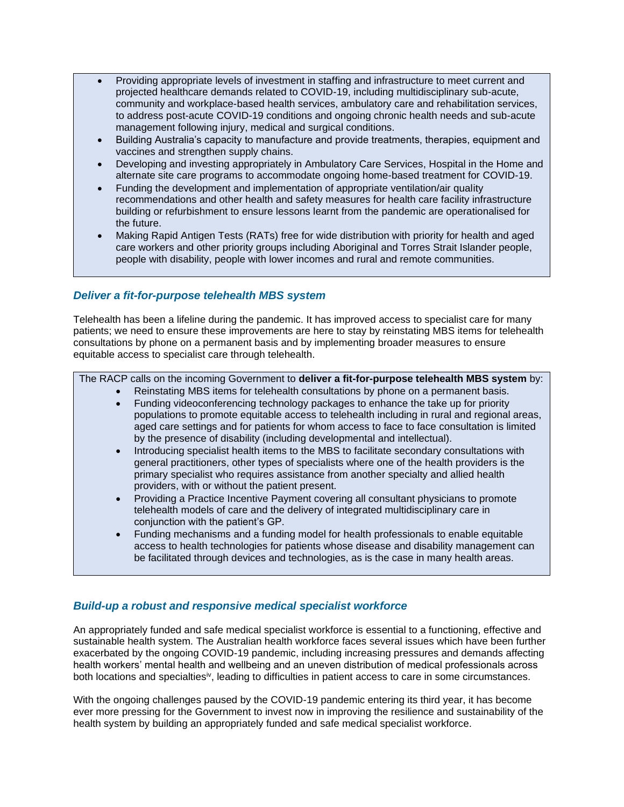- Providing appropriate levels of investment in staffing and infrastructure to meet current and projected healthcare demands related to COVID-19, including multidisciplinary sub-acute, community and workplace-based health services, ambulatory care and rehabilitation services, to address post-acute COVID-19 conditions and ongoing chronic health needs and sub-acute management following injury, medical and surgical conditions.
- Building Australia's capacity to manufacture and provide treatments, therapies, equipment and vaccines and strengthen supply chains.
- Developing and investing appropriately in Ambulatory Care Services, Hospital in the Home and alternate site care programs to accommodate ongoing home-based treatment for COVID-19.
- Funding the development and implementation of appropriate ventilation/air quality recommendations and other health and safety measures for health care facility infrastructure building or refurbishment to ensure lessons learnt from the pandemic are operationalised for the future.
- Making Rapid Antigen Tests (RATs) free for wide distribution with priority for health and aged care workers and other priority groups including Aboriginal and Torres Strait Islander people, people with disability, people with lower incomes and rural and remote communities.

### *Deliver a fit-for-purpose telehealth MBS system*

Telehealth has been a lifeline during the pandemic. It has improved access to specialist care for many patients; we need to ensure these improvements are here to stay by reinstating MBS items for telehealth consultations by phone on a permanent basis and by implementing broader measures to ensure equitable access to specialist care through telehealth.

The RACP calls on the incoming Government to **deliver a fit-for-purpose telehealth MBS system** by:

- Reinstating MBS items for telehealth consultations by phone on a permanent basis.
- Funding videoconferencing technology packages to enhance the take up for priority populations to promote equitable access to telehealth including in rural and regional areas, aged care settings and for patients for whom access to face to face consultation is limited by the presence of disability (including developmental and intellectual).
- Introducing specialist health items to the MBS to facilitate secondary consultations with general practitioners, other types of specialists where one of the health providers is the primary specialist who requires assistance from another specialty and allied health providers, with or without the patient present.
- Providing a Practice Incentive Payment covering all consultant physicians to promote telehealth models of care and the delivery of integrated multidisciplinary care in conjunction with the patient's GP.
- Funding mechanisms and a funding model for health professionals to enable equitable access to health technologies for patients whose disease and disability management can be facilitated through devices and technologies, as is the case in many health areas.

### *Build-up a robust and responsive medical specialist workforce*

An appropriately funded and safe medical specialist workforce is essential to a functioning, effective and sustainable health system. The Australian health workforce faces several issues which have been further exacerbated by the ongoing COVID-19 pandemic, including increasing pressures and demands affecting health workers' mental health and wellbeing and an uneven distribution of medical professionals across both locations and specialties<sup>iv</sup>, leading to difficulties in patient access to care in some circumstances.

With the ongoing challenges paused by the COVID-19 pandemic entering its third year, it has become ever more pressing for the Government to invest now in improving the resilience and sustainability of the health system by building an appropriately funded and safe medical specialist workforce.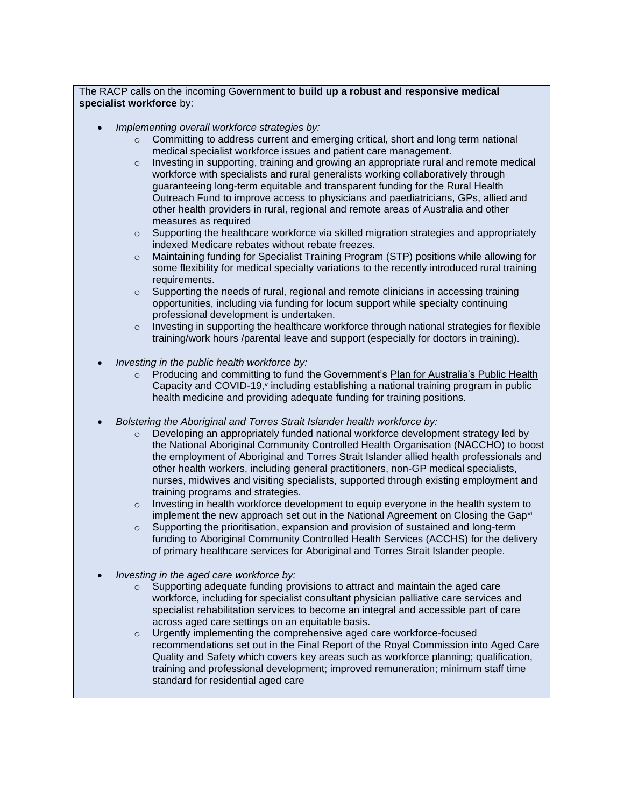The RACP calls on the incoming Government to **build up a robust and responsive medical specialist workforce** by:

- *Implementing overall workforce strategies by:*
	- $\circ$  Committing to address current and emerging critical, short and long term national medical specialist workforce issues and patient care management.
	- $\circ$  Investing in supporting, training and growing an appropriate rural and remote medical workforce with specialists and rural generalists working collaboratively through guaranteeing long-term equitable and transparent funding for the Rural Health Outreach Fund to improve access to physicians and paediatricians, GPs, allied and other health providers in rural, regional and remote areas of Australia and other measures as required
	- $\circ$  Supporting the healthcare workforce via skilled migration strategies and appropriately indexed Medicare rebates without rebate freezes.
	- o Maintaining funding for Specialist Training Program (STP) positions while allowing for some flexibility for medical specialty variations to the recently introduced rural training requirements.
	- o Supporting the needs of rural, regional and remote clinicians in accessing training opportunities, including via funding for locum support while specialty continuing professional development is undertaken.
	- $\circ$  Investing in supporting the healthcare workforce through national strategies for flexible training/work hours /parental leave and support (especially for doctors in training).
- *Investing in the public health workforce by:*
	- o Producing and committing to fund the Government's [Plan for Australia's Public Health](https://www.pm.gov.au/media/national-cabinet-statement-0)  [Capacity and COVID-19,](https://www.pm.gov.au/media/national-cabinet-statement-0)<sup>v</sup> including establishing a national training program in public health medicine and providing adequate funding for training positions.
- *Bolstering the Aboriginal and Torres Strait Islander health workforce by:*
	- $\circ$  Developing an appropriately funded national workforce development strategy led by the National Aboriginal Community Controlled Health Organisation (NACCHO) to boost the employment of Aboriginal and Torres Strait Islander allied health professionals and other health workers, including general practitioners, non-GP medical specialists, nurses, midwives and visiting specialists, supported through existing employment and training programs and strategies.
	- $\circ$  Investing in health workforce development to equip everyone in the health system to implement the new approach set out in the National Agreement on Closing the Gapvi
	- o Supporting the prioritisation, expansion and provision of sustained and long-term funding to Aboriginal Community Controlled Health Services (ACCHS) for the delivery of primary healthcare services for Aboriginal and Torres Strait Islander people.
- *Investing in the aged care workforce by:*
	- $\circ$  Supporting adequate funding provisions to attract and maintain the aged care workforce, including for specialist consultant physician palliative care services and specialist rehabilitation services to become an integral and accessible part of care across aged care settings on an equitable basis.
	- o Urgently implementing the comprehensive aged care workforce-focused recommendations set out in the Final Report of the Royal Commission into Aged Care Quality and Safety which covers key areas such as workforce planning; qualification, training and professional development; improved remuneration; minimum staff time standard for residential aged care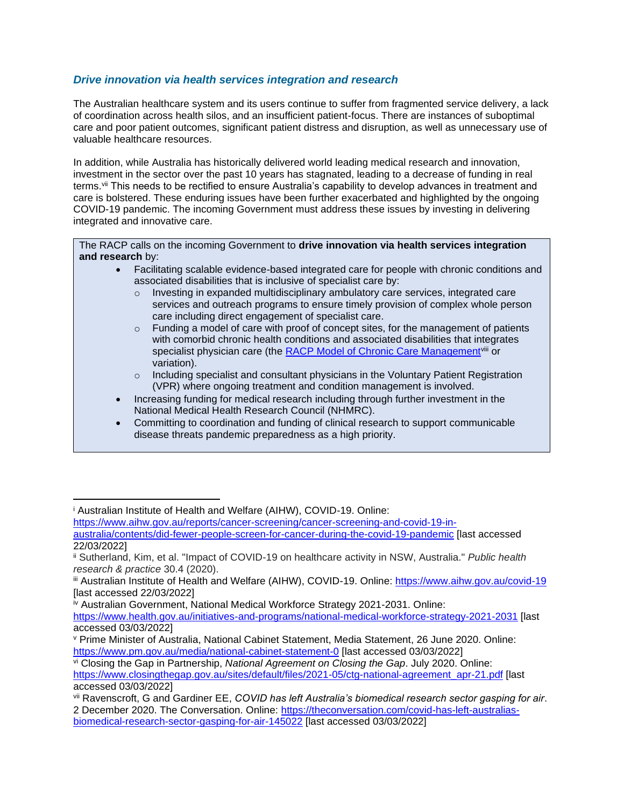## *Drive innovation via health services integration and research*

The Australian healthcare system and its users continue to suffer from fragmented service delivery, a lack of coordination across health silos, and an insufficient patient-focus. There are instances of suboptimal care and poor patient outcomes, significant patient distress and disruption, as well as unnecessary use of valuable healthcare resources.

In addition, while Australia has historically delivered world leading medical research and innovation, investment in the sector over the past 10 years has stagnated, leading to a decrease of funding in real terms.vii This needs to be rectified to ensure Australia's capability to develop advances in treatment and care is bolstered. These enduring issues have been further exacerbated and highlighted by the ongoing COVID-19 pandemic. The incoming Government must address these issues by investing in delivering integrated and innovative care.

The RACP calls on the incoming Government to **drive innovation via health services integration and research** by:

- Facilitating scalable evidence-based integrated care for people with chronic conditions and associated disabilities that is inclusive of specialist care by:
	- $\circ$  Investing in expanded multidisciplinary ambulatory care services, integrated care services and outreach programs to ensure timely provision of complex whole person care including direct engagement of specialist care.
	- $\circ$  Funding a model of care with proof of concept sites, for the management of patients with comorbid chronic health conditions and associated disabilities that integrates specialist physician care (the [RACP Model of Chronic Care Management](https://www.racp.edu.au/docs/default-source/advocacy-library/c-final-mccm-document.pdf?sfvrsn=f873e21a_14)viii or variation).
	- $\circ$  Including specialist and consultant physicians in the Voluntary Patient Registration (VPR) where ongoing treatment and condition management is involved.
- Increasing funding for medical research including through further investment in the National Medical Health Research Council (NHMRC).
- Committing to coordination and funding of clinical research to support communicable disease threats pandemic preparedness as a high priority.

[https://www.aihw.gov.au/reports/cancer-screening/cancer-screening-and-covid-19-in](https://www.aihw.gov.au/reports/cancer-screening/cancer-screening-and-covid-19-in-australia/contents/did-fewer-people-screen-for-cancer-during-the-covid-19-pandemic)[australia/contents/did-fewer-people-screen-for-cancer-during-the-covid-19-pandemic](https://www.aihw.gov.au/reports/cancer-screening/cancer-screening-and-covid-19-in-australia/contents/did-fewer-people-screen-for-cancer-during-the-covid-19-pandemic) [last accessed

<sup>i</sup> Australian Institute of Health and Welfare (AIHW), COVID-19. Online:

<sup>22/03/2022]</sup>

ii Sutherland, Kim, et al. "Impact of COVID-19 on healthcare activity in NSW, Australia." *Public health research & practice* 30.4 (2020).

iii Australian Institute of Health and Welfare (AIHW), COVID-19. Online:<https://www.aihw.gov.au/covid-19> [last accessed 22/03/2022]

iv Australian Government, National Medical Workforce Strategy 2021-2031. Online:

<https://www.health.gov.au/initiatives-and-programs/national-medical-workforce-strategy-2021-2031> [last accessed 03/03/2022]

<sup>v</sup> Prime Minister of Australia, National Cabinet Statement, Media Statement, 26 June 2020. Online: <https://www.pm.gov.au/media/national-cabinet-statement-0> [last accessed 03/03/2022]

vi Closing the Gap in Partnership, *National Agreement on Closing the Gap*. July 2020. Online: [https://www.closingthegap.gov.au/sites/default/files/2021-05/ctg-national-agreement\\_apr-21.pdf](https://www.closingthegap.gov.au/sites/default/files/2021-05/ctg-national-agreement_apr-21.pdf) [last accessed 03/03/2022]

vii Ravenscroft, G and Gardiner EE, *COVID has left Australia's biomedical research sector gasping for air*. 2 December 2020. The Conversation. Online: [https://theconversation.com/covid-has-left-australias](https://theconversation.com/covid-has-left-australias-biomedical-research-sector-gasping-for-air-145022)[biomedical-research-sector-gasping-for-air-145022](https://theconversation.com/covid-has-left-australias-biomedical-research-sector-gasping-for-air-145022) [last accessed 03/03/2022]